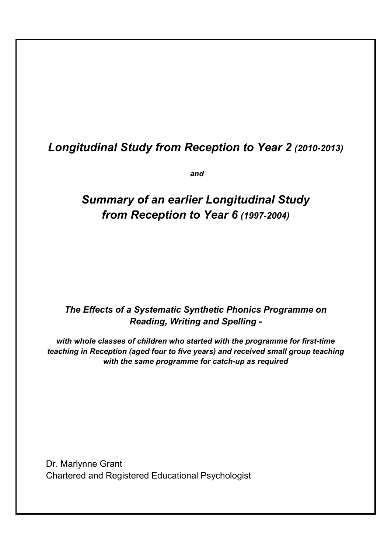# *Longitudinal Study from Reception to Year 2 (2010-2013)*

*and*

# *Summary of an earlier Longitudinal Study from Reception to Year 6 (1997-2004)*

# *The Effects of a Systematic Synthetic Phonics Programme on Reading, Writing and Spelling* **-**

*with whole classes of children who started with the programme for first-time teaching in Reception (aged four to five years) and received small group teaching with the same programme for catch-up as required* 

Dr. Marlynne Grant Chartered and Registered Educational Psychologist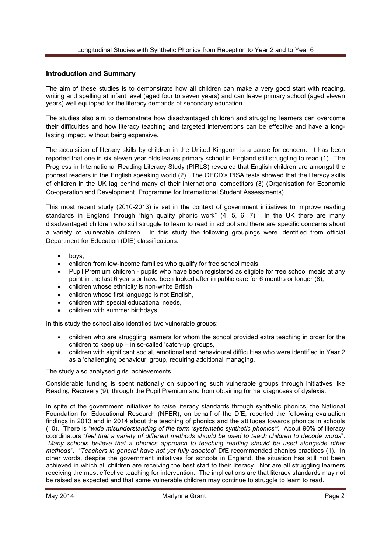#### **Introduction and Summary**

The aim of these studies is to demonstrate how all children can make a very good start with reading, writing and spelling at infant level (aged four to seven years) and can leave primary school (aged eleven years) well equipped for the literacy demands of secondary education.

The studies also aim to demonstrate how disadvantaged children and struggling learners can overcome their difficulties and how literacy teaching and targeted interventions can be effective and have a longlasting impact, without being expensive.

The acquisition of literacy skills by children in the United Kingdom is a cause for concern. It has been reported that one in six eleven year olds leaves primary school in England still struggling to read (1). The Progress in International Reading Literacy Study (PIRLS) revealed that English children are amongst the poorest readers in the English speaking world (2). The OECD's PISA tests showed that the literacy skills of children in the UK lag behind many of their international competitors (3) (Organisation for Economic Co-operation and Development, Programme for International Student Assessments).

This most recent study (2010-2013) is set in the context of government initiatives to improve reading standards in England through "high quality phonic work" (4, 5, 6, 7). In the UK there are many disadvantaged children who still struggle to learn to read in school and there are specific concerns about a variety of vulnerable children. In this study the following groupings were identified from official Department for Education (DfE) classifications:

- boys,
- children from low-income families who qualify for free school meals,
- Pupil Premium children pupils who have been registered as eligible for free school meals at any point in the last 6 years or have been looked after in public care for 6 months or longer (8),
- children whose ethnicity is non-white British,
- children whose first language is not English,
- children with special educational needs,
- children with summer birthdays.

In this study the school also identified two vulnerable groups:

- children who are struggling learners for whom the school provided extra teaching in order for the children to keep up – in so-called 'catch-up' groups,
- children with significant social, emotional and behavioural difficulties who were identified in Year 2 as a 'challenging behaviour' group, requiring additional managing.

The study also analysed girls' achievements.

Considerable funding is spent nationally on supporting such vulnerable groups through initiatives like Reading Recovery (9), through the Pupil Premium and from obtaining formal diagnoses of dyslexia.

In spite of the government initiatives to raise literacy standards through synthetic phonics, the National Foundation for Educational Research (NFER), on behalf of the DfE, reported the following evaluation findings in 2013 and in 2014 about the teaching of phonics and the attitudes towards phonics in schools (10). There is "*wide misunderstanding of the term 'systematic synthetic phonics'".* About 90% of literacy coordinators "*feel that a variety of different methods should be used to teach children to decode words*". *"Many schools believe that a phonics approach to teaching reading should be used alongside other methods*". "*Teachers in general have not yet fully adopted*" DfE recommended phonics practices (1). In other words, despite the government initiatives for schools in England, the situation has still not been achieved in which all children are receiving the best start to their literacy. Nor are all struggling learners receiving the most effective teaching for intervention. The implications are that literacy standards may not be raised as expected and that some vulnerable children may continue to struggle to learn to read.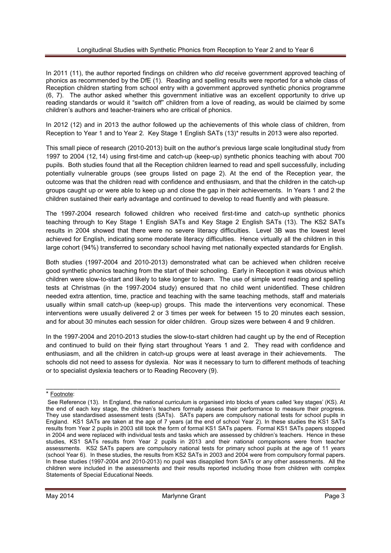#### Longitudinal Studies with Synthetic Phonics from Reception to Year 2 and to Year 6

In 2011 (11), the author reported findings on children who *did* receive government approved teaching of phonics as recommended by the DfE (1). Reading and spelling results were reported for a whole class of Reception children starting from school entry with a government approved synthetic phonics programme (6, 7). The author asked whether this government initiative was an excellent opportunity to drive up reading standards or would it "switch off" children from a love of reading, as would be claimed by some children's authors and teacher-trainers who are critical of phonics.

In 2012 (12) and in 2013 the author followed up the achievements of this whole class of children, from Reception to Year 1 and to Year 2. Key Stage 1 English SATs (13)\* results in 2013 were also reported.

This small piece of research (2010-2013) built on the author's previous large scale longitudinal study from 1997 to 2004 (12, 14) using first-time and catch-up (keep-up) synthetic phonics teaching with about 700 pupils. Both studies found that all the Reception children learned to read and spell successfully, including potentially vulnerable groups (see groups listed on page 2). At the end of the Reception year, the outcome was that the children read with confidence and enthusiasm, and that the children in the catch-up groups caught up or were able to keep up and close the gap in their achievements. In Years 1 and 2 the children sustained their early advantage and continued to develop to read fluently and with pleasure.

The 1997-2004 research followed children who received first-time and catch-up synthetic phonics teaching through to Key Stage 1 English SATs and Key Stage 2 English SATs (13). The KS2 SATs results in 2004 showed that there were no severe literacy difficulties. Level 3B was the lowest level achieved for English, indicating some moderate literacy difficulties. Hence virtually all the children in this large cohort (94%) transferred to secondary school having met nationally expected standards for English.

Both studies (1997-2004 and 2010-2013) demonstrated what can be achieved when children receive good synthetic phonics teaching from the start of their schooling. Early in Reception it was obvious which children were slow-to-start and likely to take longer to learn. The use of simple word reading and spelling tests at Christmas (in the 1997-2004 study) ensured that no child went unidentified. These children needed extra attention, time, practice and teaching with the same teaching methods, staff and materials usually within small catch-up (keep-up) groups. This made the interventions very economical. These interventions were usually delivered 2 or 3 times per week for between 15 to 20 minutes each session, and for about 30 minutes each session for older children. Group sizes were between 4 and 9 children.

In the 1997-2004 and 2010-2013 studies the slow-to-start children had caught up by the end of Reception and continued to build on their flying start throughout Years 1 and 2. They read with confidence and enthusiasm, and all the children in catch-up groups were at least average in their achievements. The schools did not need to assess for dyslexia. Nor was it necessary to turn to different methods of teaching or to specialist dyslexia teachers or to Reading Recovery (9).

\_\_\_\_\_\_\_\_\_\_\_\_\_\_\_\_\_\_\_\_\_\_\_\_\_\_\_\_\_\_\_\_\_\_\_\_\_\_\_\_\_\_\_\_\_\_\_\_\_\_\_\_\_\_\_\_\_\_\_\_\_\_\_\_\_\_\_\_\_\_\_\_\_\_\_\_\_\_\_\_\_\_\_\_

<sup>\*</sup> Footnote:

See Reference (13). In England, the national curriculum is organised into blocks of years called 'key stages' (KS). At the end of each key stage, the children's teachers formally assess their performance to measure their progress. They use standardised assessment tests (SATs). SATs papers are compulsory national tests for school pupils in England. KS1 SATs are taken at the age of 7 years (at the end of school Year 2). In these studies the KS1 SATs results from Year 2 pupils in 2003 still took the form of formal KS1 SATs papers. Formal KS1 SATs papers stopped in 2004 and were replaced with individual tests and tasks which are assessed by children's teachers. Hence in these studies, KS1 SATs results from Year 2 pupils in 2013 and their national comparisons were from teacher assessments. KS2 SATs papers are compulsory national tests for primary school pupils at the age of 11 years (school Year 6). In these studies, the results from KS2 SATs in 2003 and 2004 were from compulsory formal papers. In these studies (1997-2004 and 2010-2013) no pupil was disapplied from SATs or any other assessments. All the children were included in the assessments and their results reported including those from children with complex Statements of Special Educational Needs.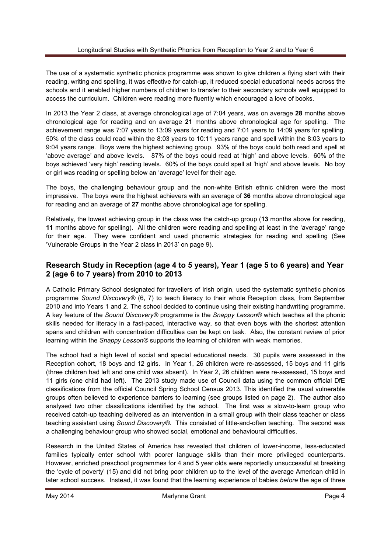The use of a systematic synthetic phonics programme was shown to give children a flying start with their reading, writing and spelling, it was effective for catch-up, it reduced special educational needs across the schools and it enabled higher numbers of children to transfer to their secondary schools well equipped to access the curriculum. Children were reading more fluently which encouraged a love of books.

In 2013 the Year 2 class, at average chronological age of 7:04 years, was on average **28** months above chronological age for reading and on average **21** months above chronological age for spelling. The achievement range was 7:07 years to 13:09 years for reading and 7:01 years to 14:09 years for spelling. 50% of the class could read within the 8:03 years to 10:11 years range and spell within the 8:03 years to 9:04 years range. Boys were the highest achieving group. 93% of the boys could both read and spell at 'above average' and above levels. 87% of the boys could read at 'high' and above levels. 60% of the boys achieved 'very high' reading levels. 60% of the boys could spell at 'high' and above levels. No boy or girl was reading or spelling below an 'average' level for their age.

The boys, the challenging behaviour group and the non-white British ethnic children were the most impressive. The boys were the highest achievers with an average of **36** months above chronological age for reading and an average of **27** months above chronological age for spelling.

Relatively, the lowest achieving group in the class was the catch-up group (**13** months above for reading, **11** months above for spelling). All the children were reading and spelling at least in the 'average' range for their age. They were confident and used phonemic strategies for reading and spelling (See 'Vulnerable Groups in the Year 2 class in 2013' on page 9).

# **Research Study in Reception (age 4 to 5 years), Year 1 (age 5 to 6 years) and Year 2 (age 6 to 7 years) from 2010 to 2013**

A Catholic Primary School designated for travellers of Irish origin, used the systematic synthetic phonics programme *Sound Discovery®* (6, 7) to teach literacy to their whole Reception class, from September 2010 and into Years 1 and 2. The school decided to continue using their existing handwriting programme. A key feature of the *Sound Discovery®* programme is the *Snappy Lesson®* which teaches all the phonic skills needed for literacy in a fast-paced, interactive way, so that even boys with the shortest attention spans and children with concentration difficulties can be kept on task. Also, the constant review of prior learning within the *Snappy Lesson®* supports the learning of children with weak memories.

The school had a high level of social and special educational needs. 30 pupils were assessed in the Reception cohort, 18 boys and 12 girls. In Year 1, 26 children were re-assessed, 15 boys and 11 girls (three children had left and one child was absent). In Year 2, 26 children were re-assessed, 15 boys and 11 girls (one child had left). The 2013 study made use of Council data using the common official DfE classifications from the official Council Spring School Census 2013. This identified the usual vulnerable groups often believed to experience barriers to learning (see groups listed on page 2). The author also analysed two other classifications identified by the school. The first was a slow-to-learn group who received catch-up teaching delivered as an intervention in a small group with their class teacher or class teaching assistant using *Sound Discovery®.* This consisted of little-and-often teaching. The second was a challenging behaviour group who showed social, emotional and behavioural difficulties.

Research in the United States of America has revealed that children of lower-income, less-educated families typically enter school with poorer language skills than their more privileged counterparts. However, enriched preschool programmes for 4 and 5 year olds were reportedly unsuccessful at breaking the 'cycle of poverty' (15) and did not bring poor children up to the level of the average American child in later school success. Instead, it was found that the learning experience of babies *before* the age of three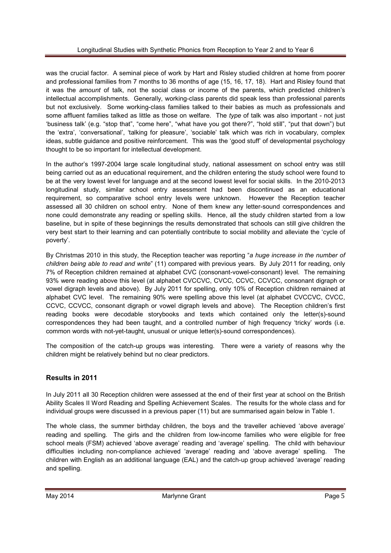was the crucial factor. A seminal piece of work by Hart and Risley studied children at home from poorer and professional families from 7 months to 36 months of age (15, 16, 17, 18). Hart and Risley found that it was the *amount* of talk, not the social class or income of the parents, which predicted children's intellectual accomplishments. Generally, working-class parents did speak less than professional parents but not exclusively. Some working-class families talked to their babies as much as professionals and some affluent families talked as little as those on welfare. The *type* of talk was also important - not just 'business talk' (e.g. "stop that", "come here", "what have you got there?", "hold still", "put that down") but the 'extra', 'conversational', 'talking for pleasure', 'sociable' talk which was rich in vocabulary, complex ideas, subtle guidance and positive reinforcement. This was the 'good stuff' of developmental psychology thought to be so important for intellectual development.

In the author's 1997-2004 large scale longitudinal study, national assessment on school entry was still being carried out as an educational requirement, and the children entering the study school were found to be at the very lowest level for language and at the second lowest level for social skills. In the 2010-2013 longitudinal study, similar school entry assessment had been discontinued as an educational requirement, so comparative school entry levels were unknown. However the Reception teacher assessed all 30 children on school entry. None of them knew any letter-sound correspondences and none could demonstrate any reading or spelling skills. Hence, all the study children started from a low baseline, but in spite of these beginnings the results demonstrated that schools can still give children the very best start to their learning and can potentially contribute to social mobility and alleviate the 'cycle of poverty'.

By Christmas 2010 in this study, the Reception teacher was reporting "*a huge increase in the number of children being able to read and write*" (11) compared with previous years. By July 2011 for reading, only 7% of Reception children remained at alphabet CVC (consonant-vowel-consonant) level. The remaining 93% were reading above this level (at alphabet CVCCVC, CVCC, CCVC, CCVCC, consonant digraph or vowel digraph levels and above). By July 2011 for spelling, only 10% of Reception children remained at alphabet CVC level. The remaining 90% were spelling above this level (at alphabet CVCCVC, CVCC, CCVC, CCVCC, consonant digraph or vowel digraph levels and above). The Reception children's first reading books were decodable storybooks and texts which contained only the letter(s)-sound correspondences they had been taught, and a controlled number of high frequency 'tricky' words (i.e. common words with not-yet-taught, unusual or unique letter(s)-sound correspondences).

The composition of the catch-up groups was interesting. There were a variety of reasons why the children might be relatively behind but no clear predictors.

# **Results in 2011**

In July 2011 all 30 Reception children were assessed at the end of their first year at school on the British Ability Scales II Word Reading and Spelling Achievement Scales. The results for the whole class and for individual groups were discussed in a previous paper (11) but are summarised again below in Table 1.

The whole class, the summer birthday children, the boys and the traveller achieved 'above average' reading and spelling. The girls and the children from low-income families who were eligible for free school meals (FSM) achieved 'above average' reading and 'average' spelling. The child with behaviour difficulties including non-compliance achieved 'average' reading and 'above average' spelling. The children with English as an additional language (EAL) and the catch-up group achieved 'average' reading and spelling.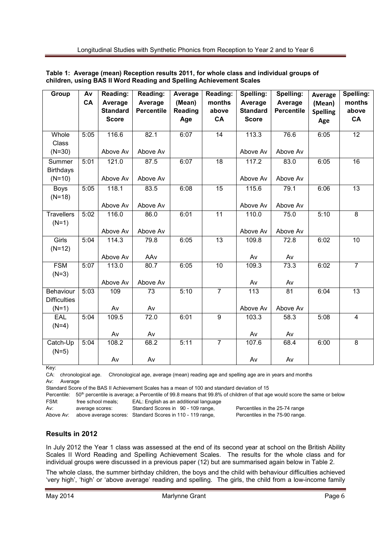| Group                            | Av<br>CA | Reading:<br>Average | Reading:<br>Average | Average<br>(Mean) | Reading:<br>months | Spelling:<br>Average | Spelling:<br>Average | Average<br>(Mean) | Spelling:<br>months     |
|----------------------------------|----------|---------------------|---------------------|-------------------|--------------------|----------------------|----------------------|-------------------|-------------------------|
|                                  |          | <b>Standard</b>     | <b>Percentile</b>   | Reading           | above              | <b>Standard</b>      | <b>Percentile</b>    | <b>Spelling</b>   | above                   |
|                                  |          | <b>Score</b>        |                     | Age               | CA                 | <b>Score</b>         |                      | Age               | CA                      |
| Whole<br>Class                   | 5:05     | 116.6               | 82.1                | 6:07              | 14                 | 113.3                | 76.6                 | 6:05              | 12                      |
| $(N=30)$                         |          | Above Av            | Above Av            |                   |                    | Above Av             | Above Av             |                   |                         |
| Summer<br><b>Birthdays</b>       | 5:01     | 121.0               | 87.5                | 6:07              | 18                 | 117.2                | 83.0                 | 6:05              | 16                      |
| $(N=10)$                         |          | Above Av            | Above Av            |                   |                    | Above Av             | Above Av             |                   |                         |
| Boys<br>$(N=18)$                 | 5:05     | 118.1               | 83.5                | 6:08              | 15                 | 115.6                | 79.1                 | 6:06              | 13                      |
|                                  |          | Above Av            | Above Av            |                   |                    | Above Av             | Above Av             |                   |                         |
| <b>Travellers</b><br>$(N=1)$     | 5:02     | 116.0               | 86.0                | 6:01              | 11                 | 110.0                | 75.0                 | 5:10              | 8                       |
|                                  |          | Above Av            | Above Av            |                   |                    | Above Av             | Above Av             |                   |                         |
| Girls<br>$(N=12)$                | 5:04     | 114.3               | 79.8                | 6:05              | 13                 | 109.8                | 72.8                 | 6:02              | 10                      |
|                                  |          | Above Av            | AAv                 |                   |                    | Av                   | Av                   |                   |                         |
| <b>FSM</b><br>$(N=3)$            | 5:07     | 113.0               | 80.7                | 6:05              | 10                 | 109.3                | 73.3                 | 6:02              | $\overline{7}$          |
|                                  |          | Above Av            | Above Av            |                   |                    | Av                   | Av                   |                   |                         |
| Behaviour<br><b>Difficulties</b> | 5:03     | 109                 | 73                  | 5:10              | $\overline{7}$     | 113                  | 81                   | 6:04              | 13                      |
| $(N=1)$                          |          | Av                  | Av                  |                   |                    | Above Av             | Above Av             |                   |                         |
| EAL<br>$(N=4)$                   | 5:04     | 109.5               | 72.0                | 6:01              | 9                  | 103.3                | 58.3                 | 5:08              | $\overline{\mathbf{4}}$ |
|                                  |          | Av                  | Av                  |                   |                    | Av                   | Av                   |                   |                         |
| Catch-Up<br>$(N=5)$              | 5:04     | 108.2               | 68.2                | 5:11              | $\overline{7}$     | 107.6                | 68.4                 | 6:00              | $\overline{8}$          |
|                                  |          | Av                  | Av                  |                   |                    | Av                   | Av                   |                   |                         |

#### **Table 1: Average (mean) Reception results 2011, for whole class and individual groups of children, using BAS II Word Reading and Spelling Achievement Scales**

Key:

CA: chronological age. Chronological age, average (mean) reading age and spelling age are in years and months Av: Average

Standard Score of the BAS II Achievement Scales has a mean of 100 and standard deviation of 15

Percentile: 50<sup>th</sup> percentile is average; a Percentile of 99.8 means that 99.8% of children of that age would score the same or below FSM: free school meals; EAL: English as an additional language

Av: average scores: Standard Scores in 90 - 109 range, Percentiles in the 25-74 range

Above Av: above average scores: Standard Scores in 110 - 119 range, Percentiles in the 75-90 range.

# **Results in 2012**

In July 2012 the Year 1 class was assessed at the end of its second year at school on the British Ability Scales II Word Reading and Spelling Achievement Scales. The results for the whole class and for individual groups were discussed in a previous paper (12) but are summarised again below in Table 2.

The whole class, the summer birthday children, the boys and the child with behaviour difficulties achieved 'very high', 'high' or 'above average' reading and spelling. The girls, the child from a low-income family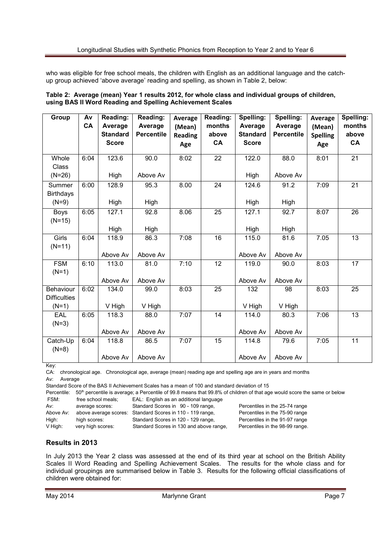who was eligible for free school meals, the children with English as an additional language and the catchup group achieved 'above average' reading and spelling, as shown in Table 2, below:

|  | Table 2: Average (mean) Year 1 results 2012, for whole class and individual groups of children, |  |
|--|-------------------------------------------------------------------------------------------------|--|
|  | using BAS II Word Reading and Spelling Achievement Scales                                       |  |

| Group                                       | Av<br>CA | Reading:<br>Average<br><b>Standard</b><br><b>Score</b> | Reading:<br>Average<br><b>Percentile</b> | Average<br>(Mean)<br><b>Reading</b><br>Age | Reading:<br>months<br>above<br>CA | Spelling:<br>Average<br><b>Standard</b><br><b>Score</b> | Spelling:<br>Average<br><b>Percentile</b> | Average<br>(Mean)<br><b>Spelling</b><br>Age | Spelling:<br>months<br>above<br>CA |
|---------------------------------------------|----------|--------------------------------------------------------|------------------------------------------|--------------------------------------------|-----------------------------------|---------------------------------------------------------|-------------------------------------------|---------------------------------------------|------------------------------------|
| Whole<br>Class<br>$(N=26)$                  | 6:04     | 123.6<br>High                                          | 90.0<br>Above Av                         | 8:02                                       | 22                                | 122.0<br>High                                           | 88.0<br>Above Av                          | 8:01                                        | 21                                 |
| Summer<br><b>Birthdays</b><br>$(N=9)$       | 6:00     | 128.9<br>High                                          | 95.3<br>High                             | 8.00                                       | 24                                | 124.6<br>High                                           | 91.2<br>High                              | 7:09                                        | 21                                 |
| Boys<br>$(N=15)$                            | 6:05     | 127.1<br>High                                          | 92.8<br>High                             | 8.06                                       | 25                                | 127.1<br>High                                           | 92.7<br>High                              | 8:07                                        | 26                                 |
| Girls<br>$(N=11)$                           | 6:04     | 118.9<br>Above Av                                      | 86.3<br>Above Av                         | 7:08                                       | 16                                | 115.0<br>Above Av                                       | 81.6<br>Above Av                          | 7.05                                        | 13                                 |
| <b>FSM</b><br>$(N=1)$                       | 6:10     | 113.0<br>Above Av                                      | 81.0<br>Above Av                         | 7:10                                       | 12                                | 119.0<br>Above Av                                       | 90.0<br>Above Av                          | 8:03                                        | 17                                 |
| Behaviour<br><b>Difficulties</b><br>$(N=1)$ | 6:02     | 134.0<br>V High                                        | 99.0<br>V High                           | 8:03                                       | 25                                | 132<br>V High                                           | 98<br>V High                              | 8:03                                        | 25                                 |
| EAL<br>$(N=3)$                              | 6:05     | 118.3<br>Above Av                                      | 88.0<br>Above Av                         | 7:07                                       | 14                                | 114.0<br>Above Av                                       | 80.3<br>Above Av                          | $\overline{7:06}$                           | 13                                 |
| Catch-Up<br>$(N=8)$                         | 6:04     | 118.8<br>Above Av                                      | 86.5<br>Above Av                         | 7:07                                       | 15                                | 114.8<br>Above Av                                       | 79.6<br>Above Av                          | 7:05                                        | 11                                 |

Key:

CA: chronological age. Chronological age, average (mean) reading age and spelling age are in years and months Av: Average

Standard Score of the BAS II Achievement Scales has a mean of 100 and standard deviation of 15

Percentile: 50<sup>th</sup> percentile is average; a Percentile of 99.8 means that 99.8% of children of that age would score the same or below<br>FSM: free school meals: EAL: English as an additional language free school meals; EAL: English as an additional language

| Av:       | average scores:   | Standard Scores in 90 - 109 range,                        | Percentiles in the 25-74 range  |
|-----------|-------------------|-----------------------------------------------------------|---------------------------------|
| Above Av: |                   | above average scores: Standard Scores in 110 - 119 range, | Percentiles in the 75-90 range  |
| High:     | high scores:      | Standard Scores in 120 - 129 range,                       | Percentiles in the 91-97 range  |
| V High:   | very high scores: | Standard Scores in 130 and above range,                   | Percentiles in the 98-99 range. |

# **Results in 2013**

In July 2013 the Year 2 class was assessed at the end of its third year at school on the British Ability Scales II Word Reading and Spelling Achievement Scales. The results for the whole class and for individual groupings are summarised below in Table 3. Results for the following official classifications of children were obtained for: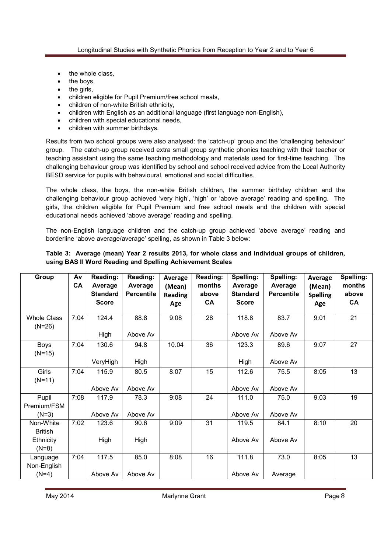- the whole class,
- the boys,
- the girls,
- children eligible for Pupil Premium/free school meals,
- children of non-white British ethnicity,
- children with English as an additional language (first language non-English),
- children with special educational needs,
- children with summer birthdays.

Results from two school groups were also analysed: the 'catch-up' group and the 'challenging behaviour' group. The catch-up group received extra small group synthetic phonics teaching with their teacher or teaching assistant using the same teaching methodology and materials used for first-time teaching. The challenging behaviour group was identified by school and school received advice from the Local Authority BESD service for pupils with behavioural, emotional and social difficulties.

The whole class, the boys, the non-white British children, the summer birthday children and the challenging behaviour group achieved 'very high', 'high' or 'above average' reading and spelling. The girls, the children eligible for Pupil Premium and free school meals and the children with special educational needs achieved 'above average' reading and spelling.

The non-English language children and the catch-up group achieved 'above average' reading and borderline 'above average/average' spelling, as shown in Table 3 below:

#### **Table 3: Average (mean) Year 2 results 2013, for whole class and individual groups of children, using BAS II Word Reading and Spelling Achievement Scales**

| Group                          | Av<br>CA | Reading:<br>Average<br><b>Standard</b><br><b>Score</b> | Reading:<br>Average<br><b>Percentile</b> | Average<br>(Mean)<br><b>Reading</b> | Reading:<br>months<br>above<br><b>CA</b> | Spelling:<br>Average<br><b>Standard</b><br><b>Score</b> | Spelling:<br>Average<br><b>Percentile</b> | Average<br>(Mean)<br><b>Spelling</b> | Spelling:<br>months<br>above<br>CA |
|--------------------------------|----------|--------------------------------------------------------|------------------------------------------|-------------------------------------|------------------------------------------|---------------------------------------------------------|-------------------------------------------|--------------------------------------|------------------------------------|
|                                |          |                                                        |                                          | Age                                 |                                          |                                                         |                                           | Age                                  |                                    |
| <b>Whole Class</b><br>$(N=26)$ | 7:04     | 124.4                                                  | 88.8                                     | 9:08                                | 28                                       | 118.8                                                   | 83.7                                      | 9:01                                 | 21                                 |
|                                |          | High                                                   | Above Av                                 |                                     |                                          | Above Av                                                | Above Av                                  |                                      |                                    |
| <b>Boys</b><br>$(N=15)$        | 7:04     | 130.6                                                  | 94.8                                     | 10.04                               | 36                                       | 123.3                                                   | 89.6                                      | 9:07                                 | 27                                 |
|                                |          | VeryHigh                                               | High                                     |                                     |                                          | High                                                    | Above Av                                  |                                      |                                    |
| Girls<br>$(N=11)$              | 7:04     | 115.9                                                  | 80.5                                     | 8.07                                | 15                                       | 112.6                                                   | 75.5                                      | 8:05                                 | 13                                 |
|                                |          | Above Av                                               | Above Av                                 |                                     |                                          | Above Av                                                | Above Av                                  |                                      |                                    |
| Pupil                          | 7:08     | 117.9                                                  | 78.3                                     | 9:08                                | 24                                       | 111.0                                                   | 75.0                                      | 9.03                                 | 19                                 |
| Premium/FSM                    |          |                                                        |                                          |                                     |                                          |                                                         |                                           |                                      |                                    |
| $(N=3)$                        |          | Above Av                                               | Above Av                                 |                                     |                                          | Above Av                                                | Above Av                                  |                                      |                                    |
| Non-White                      | 7:02     | 123.6                                                  | 90.6                                     | 9:09                                | 31                                       | 119.5                                                   | 84.1                                      | 8:10                                 | 20                                 |
| <b>British</b>                 |          |                                                        |                                          |                                     |                                          |                                                         |                                           |                                      |                                    |
| Ethnicity                      |          | High                                                   | High                                     |                                     |                                          | Above Av                                                | Above Av                                  |                                      |                                    |
| $(N=8)$                        |          |                                                        |                                          |                                     |                                          |                                                         |                                           |                                      |                                    |
| Language                       | 7:04     | 117.5                                                  | 85.0                                     | 8:08                                | 16                                       | 111.8                                                   | 73.0                                      | 8:05                                 | 13                                 |
| Non-English                    |          |                                                        |                                          |                                     |                                          |                                                         |                                           |                                      |                                    |
| $(N=4)$                        |          | Above Av                                               | Above Av                                 |                                     |                                          | Above Av                                                | Average                                   |                                      |                                    |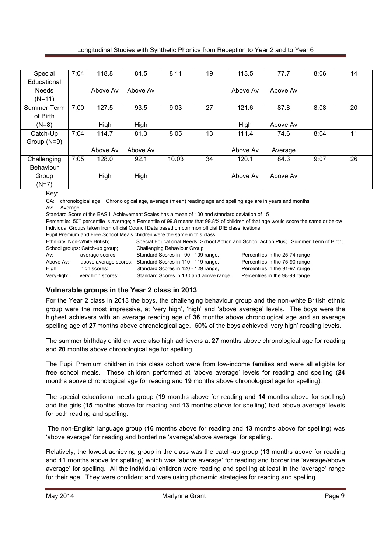Longitudinal Studies with Synthetic Phonics from Reception to Year 2 and to Year 6

| Special          | 7:04 | 118.8    | 84.5     | 8:11  | 19 | 113.5    | 77.7     | 8:06 | 14 |
|------------------|------|----------|----------|-------|----|----------|----------|------|----|
| Educational      |      |          |          |       |    |          |          |      |    |
| <b>Needs</b>     |      | Above Av | Above Av |       |    | Above Av | Above Av |      |    |
| $(N=11)$         |      |          |          |       |    |          |          |      |    |
| Summer Term      | 7:00 | 127.5    | 93.5     | 9:03  | 27 | 121.6    | 87.8     | 8:08 | 20 |
| of Birth         |      |          |          |       |    |          |          |      |    |
| $(N=8)$          |      | High     | High     |       |    | High     | Above Av |      |    |
| Catch-Up         | 7:04 | 114.7    | 81.3     | 8:05  | 13 | 111.4    | 74.6     | 8:04 | 11 |
| Group (N=9)      |      |          |          |       |    |          |          |      |    |
|                  |      | Above Av | Above Av |       |    | Above Av | Average  |      |    |
| Challenging      | 7:05 | 128.0    | 92.1     | 10.03 | 34 | 120.1    | 84.3     | 9:07 | 26 |
| <b>Behaviour</b> |      |          |          |       |    |          |          |      |    |
| Group            |      | High     | High     |       |    | Above Av | Above Av |      |    |
| $(N=7)$          |      |          |          |       |    |          |          |      |    |

Key:

CA: chronological age. Chronological age, average (mean) reading age and spelling age are in years and months Av: Average

Standard Score of the BAS II Achievement Scales has a mean of 100 and standard deviation of 15

Percentile: 50<sup>th</sup> percentile is average; a Percentile of 99.8 means that 99.8% of children of that age would score the same or below Individual Groups taken from official Council Data based on common official DfE classifications:

Pupil Premium and Free School Meals children were the same in this class<br>Ethnicity: Non-White British: Special Educational Needs: School Special Educational Needs: School Action and School Action Plus: Summer Term of Birth; School groups: Catch-up group; Challenging Behaviour Group School groups: Galch-up group, Chailenging behaviour Group<br>Av: average scores: Standard Scores in 90 - 109 range, Percentiles in the 25-74 range Above Av: above average scores: Standard Scores in 110 - 119 range, Percentiles in the 75-90 range High: high scores: Standard Scores in 120 - 129 range, Percentiles in the 91-97 range VeryHigh: very high scores: Standard Scores in 130 and above range, Percentiles in the 98-99 range.

# **Vulnerable groups in the Year 2 class in 2013**

For the Year 2 class in 2013 the boys, the challenging behaviour group and the non-white British ethnic group were the most impressive, at 'very high', 'high' and 'above average' levels. The boys were the highest achievers with an average reading age of **36** months above chronological age and an average spelling age of **27** months above chronological age. 60% of the boys achieved 'very high' reading levels.

The summer birthday children were also high achievers at **27** months above chronological age for reading and **20** months above chronological age for spelling.

The Pupil Premium children in this class cohort were from low-income families and were all eligible for free school meals. These children performed at 'above average' levels for reading and spelling (**24** months above chronological age for reading and **19** months above chronological age for spelling).

The special educational needs group (**19** months above for reading and **14** months above for spelling) and the girls (**15** months above for reading and **13** months above for spelling) had 'above average' levels for both reading and spelling.

 The non-English language group (**16** months above for reading and **13** months above for spelling) was 'above average' for reading and borderline 'average/above average' for spelling.

Relatively, the lowest achieving group in the class was the catch-up group (**13** months above for reading and **11** months above for spelling) which was 'above average' for reading and borderline 'average/above average' for spelling. All the individual children were reading and spelling at least in the 'average' range for their age. They were confident and were using phonemic strategies for reading and spelling.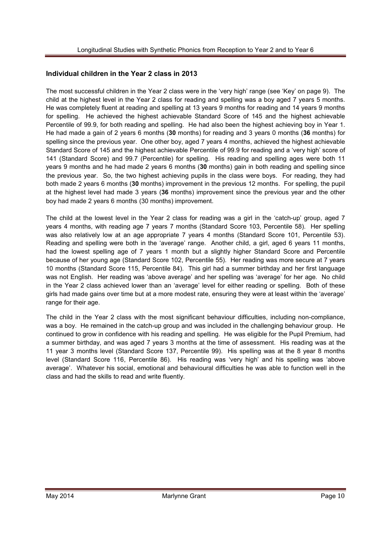#### **Individual children in the Year 2 class in 2013**

The most successful children in the Year 2 class were in the 'very high' range (see 'Key' on page 9). The child at the highest level in the Year 2 class for reading and spelling was a boy aged 7 years 5 months. He was completely fluent at reading and spelling at 13 years 9 months for reading and 14 years 9 months for spelling. He achieved the highest achievable Standard Score of 145 and the highest achievable Percentile of 99.9, for both reading and spelling. He had also been the highest achieving boy in Year 1. He had made a gain of 2 years 6 months (**30** months) for reading and 3 years 0 months (**36** months) for spelling since the previous year. One other boy, aged 7 years 4 months, achieved the highest achievable Standard Score of 145 and the highest achievable Percentile of 99.9 for reading and a 'very high' score of 141 (Standard Score) and 99.7 (Percentile) for spelling. His reading and spelling ages were both 11 years 9 months and he had made 2 years 6 months (**30** months) gain in both reading and spelling since the previous year. So, the two highest achieving pupils in the class were boys. For reading, they had both made 2 years 6 months (**30** months) improvement in the previous 12 months. For spelling, the pupil at the highest level had made 3 years (**36** months) improvement since the previous year and the other boy had made 2 years 6 months (30 months) improvement.

The child at the lowest level in the Year 2 class for reading was a girl in the 'catch-up' group, aged 7 years 4 months, with reading age 7 years 7 months (Standard Score 103, Percentile 58). Her spelling was also relatively low at an age appropriate 7 years 4 months (Standard Score 101, Percentile 53). Reading and spelling were both in the 'average' range. Another child, a girl, aged 6 years 11 months, had the lowest spelling age of 7 years 1 month but a slightly higher Standard Score and Percentile because of her young age (Standard Score 102, Percentile 55). Her reading was more secure at 7 years 10 months (Standard Score 115, Percentile 84). This girl had a summer birthday and her first language was not English. Her reading was 'above average' and her spelling was 'average' for her age. No child in the Year 2 class achieved lower than an 'average' level for either reading or spelling. Both of these girls had made gains over time but at a more modest rate, ensuring they were at least within the 'average' range for their age.

The child in the Year 2 class with the most significant behaviour difficulties, including non-compliance, was a boy. He remained in the catch-up group and was included in the challenging behaviour group. He continued to grow in confidence with his reading and spelling. He was eligible for the Pupil Premium, had a summer birthday, and was aged 7 years 3 months at the time of assessment. His reading was at the 11 year 3 months level (Standard Score 137, Percentile 99). His spelling was at the 8 year 8 months level (Standard Score 116, Percentile 86). His reading was 'very high' and his spelling was 'above average'. Whatever his social, emotional and behavioural difficulties he was able to function well in the class and had the skills to read and write fluently.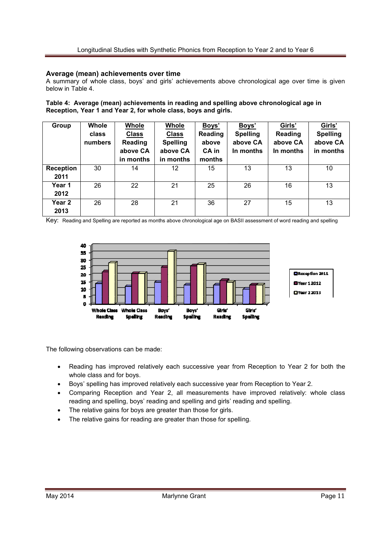#### **Average (mean) achievements over time**

A summary of whole class, boys' and girls' achievements above chronological age over time is given below in Table 4.

**Table 4: Average (mean) achievements in reading and spelling above chronological age in Reception, Year 1 and Year 2, for whole class, boys and girls.** 

| Group            | Whole<br>class<br>numbers | Whole<br><b>Class</b><br><b>Reading</b><br>above CA<br>in months | Whole<br><b>Class</b><br><b>Spelling</b><br>above CA<br>in months | Boys'<br>Reading<br>above<br>CA in<br>months | Boys'<br><b>Spelling</b><br>above CA<br>In months | Girls'<br>Reading<br>above CA<br>In months | Girls'<br><b>Spelling</b><br>above CA<br>in months |
|------------------|---------------------------|------------------------------------------------------------------|-------------------------------------------------------------------|----------------------------------------------|---------------------------------------------------|--------------------------------------------|----------------------------------------------------|
| <b>Reception</b> | 30                        | 14                                                               | 12                                                                | 15                                           | 13                                                | 13                                         | 10                                                 |
| 2011             |                           |                                                                  |                                                                   |                                              |                                                   |                                            |                                                    |
| Year 1           | 26                        | 22                                                               | 21                                                                | 25                                           | 26                                                | 16                                         | 13                                                 |
| 2012             |                           |                                                                  |                                                                   |                                              |                                                   |                                            |                                                    |
| Year 2           | 26                        | 28                                                               | 21                                                                | 36                                           | 27                                                | 15                                         | 13                                                 |
| 2013             |                           |                                                                  |                                                                   |                                              |                                                   |                                            |                                                    |

Key: Reading and Spelling are reported as months above chronological age on BASII assessment of word reading and spelling



The following observations can be made:

- Reading has improved relatively each successive year from Reception to Year 2 for both the whole class and for boys.
- Boys' spelling has improved relatively each successive year from Reception to Year 2.
- Comparing Reception and Year 2, all measurements have improved relatively: whole class reading and spelling, boys' reading and spelling and girls' reading and spelling.
- The relative gains for boys are greater than those for girls.
- The relative gains for reading are greater than those for spelling.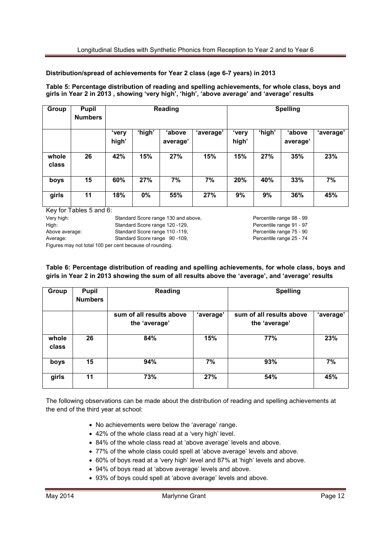#### **Distribution/spread of achievements for Year 2 class (age 6-7 years) in 2013**

**Table 5: Percentage distribution of reading and spelling achievements, for whole class, boys and girls in Year 2 in 2013 , showing 'very high', 'high', 'above average' and 'average' results** 

| Group          | <b>Pupil</b><br><b>Numbers</b> |                |        | <b>Reading</b>     |           | <b>Spelling</b> |        |                    |           |
|----------------|--------------------------------|----------------|--------|--------------------|-----------|-----------------|--------|--------------------|-----------|
|                |                                | 'very<br>high' | 'high' | 'above<br>average' | 'average' | 'very<br>high'  | 'high' | 'above<br>average' | 'average' |
| whole<br>class | 26                             | 42%            | 15%    | 27%                | 15%       | 15%             | 27%    | 35%                | 23%       |
| boys           | 15                             | 60%            | 27%    | 7%                 | 7%        | 20%             | 40%    | 33%                | 7%        |
| girls          | 11                             | 18%            | 0%     | 55%                | 27%       | 9%              | 9%     | 36%                | 45%       |

Key for Tables 5 and 6:

Very high: Standard Score range 130 and above, Percentile range 98 - 99 High: Standard Score range 120 - 129, Percentile range 91 - 97 Above average: Standard Score range 110 - 119, Percentile range 75 - 90 Average: Standard Score range 90 -109, Percentile range 25 - 74

Figures may not total 100 per cent because of rounding.

**Table 6: Percentage distribution of reading and spelling achievements, for whole class, boys and girls in Year 2 in 2013 showing the sum of all results above the 'average', and 'average' results** 

| Group          | <b>Pupil</b><br><b>Numbers</b> | <b>Reading</b>                            |           | <b>Spelling</b>                           |           |  |
|----------------|--------------------------------|-------------------------------------------|-----------|-------------------------------------------|-----------|--|
|                |                                | sum of all results above<br>the 'average' | 'average' | sum of all results above<br>the 'average' | 'average' |  |
| whole<br>class | 26                             | 84%                                       | 15%       | 77%                                       | 23%       |  |
| boys           | 15                             | 94%                                       | 7%        | 93%                                       | 7%        |  |
| girls          | 11                             | 73%                                       | 27%       | 54%                                       | 45%       |  |

The following observations can be made about the distribution of reading and spelling achievements at the end of the third year at school:

- No achievements were below the 'average' range.
- 42% of the whole class read at a 'very high' level.
- 84% of the whole class read at 'above average' levels and above.
- 77% of the whole class could spell at 'above average' levels and above.
- 60% of boys read at a 'very high' level and 87% at 'high' levels and above.
- 94% of boys read at 'above average' levels and above.
- 93% of boys could spell at 'above average' levels and above.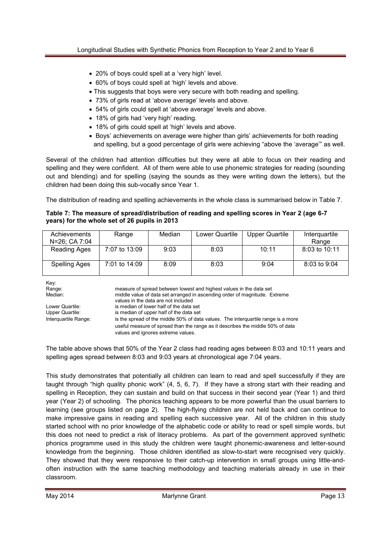- 20% of boys could spell at a 'very high' level.
- 60% of boys could spell at 'high' levels and above.
- This suggests that boys were very secure with both reading and spelling.
- 73% of girls read at 'above average' levels and above.
- 54% of girls could spell at 'above average' levels and above.
- 18% of girls had 'very high' reading.
- 18% of girls could spell at 'high' levels and above.
- Boys' achievements on average were higher than girls' achievements for both reading and spelling, but a good percentage of girls were achieving "above the 'average'" as well.

Several of the children had attention difficulties but they were all able to focus on their reading and spelling and they were confident. All of them were able to use phonemic strategies for reading (sounding out and blending) and for spelling (saying the sounds as they were writing down the letters), but the children had been doing this sub-vocally since Year 1.

The distribution of reading and spelling achievements in the whole class is summarised below in Table 7.

#### **Table 7: The measure of spread/distribution of reading and spelling scores in Year 2 (age 6-7 years) for the whole set of 26 pupils in 2013**

| Achievements<br>N=26; CA 7:04 | Range         | Median | Lower Quartile | <b>Upper Quartile</b> | Interguartile<br>Range |
|-------------------------------|---------------|--------|----------------|-----------------------|------------------------|
| <b>Reading Ages</b>           | 7:07 to 13:09 | 9:03   | 8:03           | 10:11                 | 8:03 to 10:11          |
| <b>Spelling Ages</b>          | 7:01 to 14:09 | 8:09   | 8:03           | 9:04                  | 8:03 to 9:04           |

Key:

Range: measure of spread between lowest and highest values in the data set<br>Median: middle value of data set arranged in ascending order of magnitude. E middle value of data set arranged in ascending order of magnitude. Extreme values in the data are not included<br>Lower Quartile: is median of lower half of the data s is median of lower half of the data set Upper Quartile: is median of upper half of the data set Interquartile Range: is the spread of the middle 50% of data values. The interquartile range is a more useful measure of spread than the range as it describes the middle 50% of data values and ignores extreme values.

The table above shows that 50% of the Year 2 class had reading ages between 8:03 and 10:11 years and spelling ages spread between 8:03 and 9:03 years at chronological age 7:04 years.

This study demonstrates that potentially all children can learn to read and spell successfully if they are taught through "high quality phonic work" (4, 5, 6, 7). If they have a strong start with their reading and spelling in Reception, they can sustain and build on that success in their second year (Year 1) and third year (Year 2) of schooling. The phonics teaching appears to be more powerful than the usual barriers to learning (see groups listed on page 2). The high-flying children are not held back and can continue to make impressive gains in reading and spelling each successive year. All of the children in this study started school with no prior knowledge of the alphabetic code or ability to read or spell simple words, but this does not need to predict a risk of literacy problems. As part of the government approved synthetic phonics programme used in this study the children were taught phonemic-awareness and letter-sound knowledge from the beginning. Those children identified as slow-to-start were recognised very quickly. They showed that they were responsive to their catch-up intervention in small groups using little-andoften instruction with the same teaching methodology and teaching materials already in use in their classroom.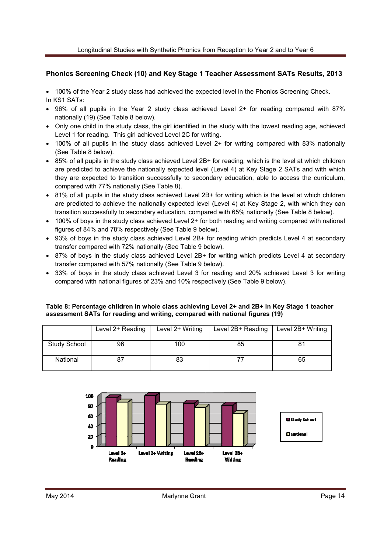#### **Phonics Screening Check (10) and Key Stage 1 Teacher Assessment SATs Results, 2013**

• 100% of the Year 2 study class had achieved the expected level in the Phonics Screening Check. In KS1 SATs:

- 96% of all pupils in the Year 2 study class achieved Level 2+ for reading compared with 87% nationally (19) (See Table 8 below).
- Only one child in the study class, the girl identified in the study with the lowest reading age, achieved Level 1 for reading. This girl achieved Level 2C for writing.
- 100% of all pupils in the study class achieved Level 2+ for writing compared with 83% nationally (See Table 8 below).
- 85% of all pupils in the study class achieved Level 2B+ for reading, which is the level at which children are predicted to achieve the nationally expected level (Level 4) at Key Stage 2 SATs and with which they are expected to transition successfully to secondary education, able to access the curriculum, compared with 77% nationally (See Table 8).
- 81% of all pupils in the study class achieved Level 2B+ for writing which is the level at which children are predicted to achieve the nationally expected level (Level 4) at Key Stage 2, with which they can transition successfully to secondary education, compared with 65% nationally (See Table 8 below).
- 100% of boys in the study class achieved Level 2+ for both reading and writing compared with national figures of 84% and 78% respectively (See Table 9 below).
- 93% of boys in the study class achieved Level 2B+ for reading which predicts Level 4 at secondary transfer compared with 72% nationally (See Table 9 below).
- 87% of boys in the study class achieved Level 2B+ for writing which predicts Level 4 at secondary transfer compared with 57% nationally (See Table 9 below).
- 33% of boys in the study class achieved Level 3 for reading and 20% achieved Level 3 for writing compared with national figures of 23% and 10% respectively (See Table 9 below).

#### **Table 8: Percentage children in whole class achieving Level 2+ and 2B+ in Key Stage 1 teacher assessment SATs for reading and writing, compared with national figures (19)**

|                     | Level 2+ Reading | Level 2+ Writing | Level 2B+ Reading | Level 2B+ Writing |
|---------------------|------------------|------------------|-------------------|-------------------|
| <b>Study School</b> | 96               | 100              | 85                |                   |
| National            |                  | 83               |                   | 65                |

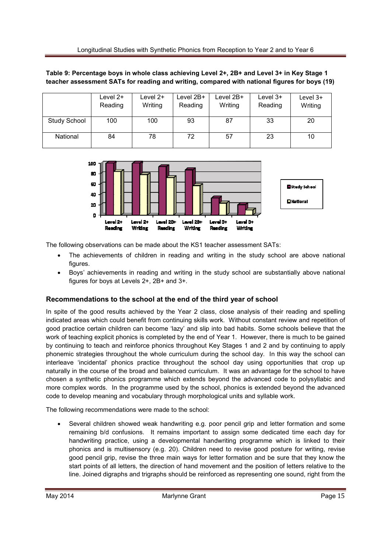|              | Level $2+$<br>Reading | Level 2+<br>Writing | Level $2B+$<br>Reading | Level $2B+$<br>Writing | Level $3+$<br>Reading | Level $3+$<br>Writing |
|--------------|-----------------------|---------------------|------------------------|------------------------|-----------------------|-----------------------|
| Study School | 100                   | 100                 | 93                     | 87                     | 33                    | 20                    |
| National     | 84                    | 78                  | 72                     | 57                     | 23                    | 10                    |





The following observations can be made about the KS1 teacher assessment SATs:

- The achievements of children in reading and writing in the study school are above national figures.
- Boys' achievements in reading and writing in the study school are substantially above national figures for boys at Levels 2+, 2B+ and 3+.

#### **Recommendations to the school at the end of the third year of school**

In spite of the good results achieved by the Year 2 class, close analysis of their reading and spelling indicated areas which could benefit from continuing skills work. Without constant review and repetition of good practice certain children can become 'lazy' and slip into bad habits. Some schools believe that the work of teaching explicit phonics is completed by the end of Year 1. However, there is much to be gained by continuing to teach and reinforce phonics throughout Key Stages 1 and 2 and by continuing to apply phonemic strategies throughout the whole curriculum during the school day. In this way the school can interleave 'incidental' phonics practice throughout the school day using opportunities that crop up naturally in the course of the broad and balanced curriculum. It was an advantage for the school to have chosen a synthetic phonics programme which extends beyond the advanced code to polysyllabic and more complex words. In the programme used by the school, phonics is extended beyond the advanced code to develop meaning and vocabulary through morphological units and syllable work.

The following recommendations were made to the school:

• Several children showed weak handwriting e.g. poor pencil grip and letter formation and some remaining b/d confusions. It remains important to assign some dedicated time each day for handwriting practice, using a developmental handwriting programme which is linked to their phonics and is multisensory (e.g. 20). Children need to revise good posture for writing, revise good pencil grip, revise the three main ways for letter formation and be sure that they know the start points of all letters, the direction of hand movement and the position of letters relative to the line. Joined digraphs and trigraphs should be reinforced as representing one sound, right from the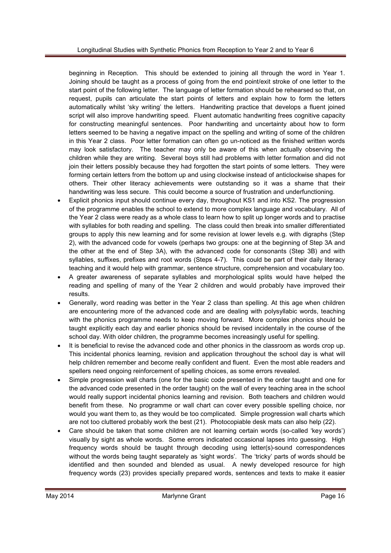beginning in Reception. This should be extended to joining all through the word in Year 1. Joining should be taught as a process of going from the end point/exit stroke of one letter to the start point of the following letter. The language of letter formation should be rehearsed so that, on request, pupils can articulate the start points of letters and explain how to form the letters automatically whilst 'sky writing' the letters. Handwriting practice that develops a fluent joined script will also improve handwriting speed. Fluent automatic handwriting frees cognitive capacity for constructing meaningful sentences. Poor handwriting and uncertainty about how to form letters seemed to be having a negative impact on the spelling and writing of some of the children in this Year 2 class. Poor letter formation can often go un-noticed as the finished written words may look satisfactory. The teacher may only be aware of this when actually observing the children while they are writing. Several boys still had problems with letter formation and did not join their letters possibly because they had forgotten the start points of some letters. They were forming certain letters from the bottom up and using clockwise instead of anticlockwise shapes for others. Their other literacy achievements were outstanding so it was a shame that their handwriting was less secure. This could become a source of frustration and underfunctioning.

- Explicit phonics input should continue every day, throughout KS1 and into KS2. The progression of the programme enables the school to extend to more complex language and vocabulary. All of the Year 2 class were ready as a whole class to learn how to split up longer words and to practise with syllables for both reading and spelling. The class could then break into smaller differentiated groups to apply this new learning and for some revision at lower levels e.g. with digraphs (Step 2), with the advanced code for vowels (perhaps two groups: one at the beginning of Step 3A and the other at the end of Step 3A), with the advanced code for consonants (Step 3B) and with syllables, suffixes, prefixes and root words (Steps 4-7). This could be part of their daily literacy teaching and it would help with grammar, sentence structure, comprehension and vocabulary too.
- A greater awareness of separate syllables and morphological splits would have helped the reading and spelling of many of the Year 2 children and would probably have improved their results.
- Generally, word reading was better in the Year 2 class than spelling. At this age when children are encountering more of the advanced code and are dealing with polysyllabic words, teaching with the phonics programme needs to keep moving forward. More complex phonics should be taught explicitly each day and earlier phonics should be revised incidentally in the course of the school day. With older children, the programme becomes increasingly useful for spelling.
- It is beneficial to revise the advanced code and other phonics in the classroom as words crop up. This incidental phonics learning, revision and application throughout the school day is what will help children remember and become really confident and fluent. Even the most able readers and spellers need ongoing reinforcement of spelling choices, as some errors revealed.
- Simple progression wall charts (one for the basic code presented in the order taught and one for the advanced code presented in the order taught) on the wall of every teaching area in the school would really support incidental phonics learning and revision. Both teachers and children would benefit from these. No programme or wall chart can cover every possible spelling choice, nor would you want them to, as they would be too complicated. Simple progression wall charts which are not too cluttered probably work the best (21). Photocopiable desk mats can also help (22).
- Care should be taken that some children are not learning certain words (so-called 'key words') visually by sight as whole words. Some errors indicated occasional lapses into guessing. High frequency words should be taught through decoding using letter(s)-sound correspondences without the words being taught separately as 'sight words'. The 'tricky' parts of words should be identified and then sounded and blended as usual. A newly developed resource for high frequency words (23) provides specially prepared words, sentences and texts to make it easier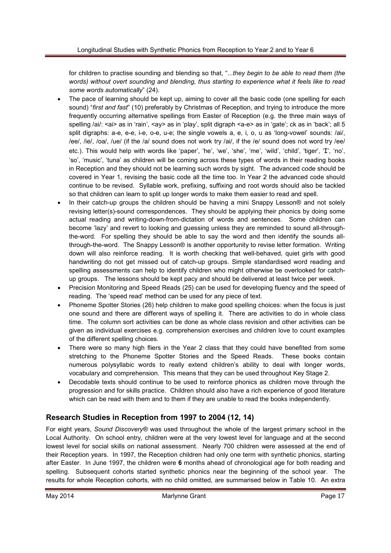for children to practise sounding and blending so that, "...*they begin to be able to read them (the words) without overt sounding and blending, thus starting to experience what it feels like to read some words automatically*" (24).

- The pace of learning should be kept up, aiming to cover all the basic code (one spelling for each sound) "*first and fast*" (10) preferably by Christmas of Reception, and trying to introduce the more frequently occurring alternative spellings from Easter of Reception (e.g. the three main ways of spelling /ai/: <ai> as in 'rain', <ay> as in 'play', split digraph <a-e> as in 'gate'; ck as in 'back'; all 5 split digraphs: a-e, e-e, i-e, o-e, u-e; the single vowels a, e, i, o, u as 'long-vowel' sounds: /ai/, /ee/, /ie/, /oa/, /ue/ (if the /a/ sound does not work try /ai/, if the /e/ sound does not word try /ee/ etc.). This would help with words like 'paper', 'he', 'we', 'she', 'me', 'wild', 'child', 'tiger', 'I', 'no', 'so', 'music', 'tuna' as children will be coming across these types of words in their reading books in Reception and they should not be learning such words by sight. The advanced code should be covered in Year 1, revising the basic code all the time too. In Year 2 the advanced code should continue to be revised. Syllable work, prefixing, suffixing and root words should also be tackled so that children can learn to split up longer words to make them easier to read and spell.
- In their catch-up groups the children should be having a mini Snappy Lesson<sup>®</sup> and not solely revising letter(s)-sound correspondences. They should be applying their phonics by doing some actual reading and writing-down-from-dictation of words and sentences. Some children can become 'lazy' and revert to looking and guessing unless they are reminded to sound all-throughthe-word. For spelling they should be able to say the word and then identify the sounds allthrough-the-word. The Snappy Lesson® is another opportunity to revise letter formation. Writing down will also reinforce reading. It is worth checking that well-behaved, quiet girls with good handwriting do not get missed out of catch-up groups. Simple standardised word reading and spelling assessments can help to identify children who might otherwise be overlooked for catchup groups. The lessons should be kept pacy and should be delivered at least twice per week.
- Precision Monitoring and Speed Reads (25) can be used for developing fluency and the speed of reading. The 'speed read' method can be used for any piece of text.
- Phoneme Spotter Stories (26) help children to make good spelling choices: when the focus is just one sound and there are different ways of spelling it. There are activities to do in whole class time. The column sort activities can be done as whole class revision and other activities can be given as individual exercises e.g. comprehension exercises and children love to count examples of the different spelling choices.
- There were so many high fliers in the Year 2 class that they could have benefited from some stretching to the Phoneme Spotter Stories and the Speed Reads. These books contain numerous polysyllabic words to really extend children's ability to deal with longer words, vocabulary and comprehension. This means that they can be used throughout Key Stage 2.
- Decodable texts should continue to be used to reinforce phonics as children move through the progression and for skills practice. Children should also have a rich experience of good literature which can be read with them and to them if they are unable to read the books independently.

# **Research Studies in Reception from 1997 to 2004 (12, 14)**

For eight years, *Sound Discovery®* was used throughout the whole of the largest primary school in the Local Authority. On school entry, children were at the very lowest level for language and at the second lowest level for social skills on national assessment. Nearly 700 children were assessed at the end of their Reception years. In 1997, the Reception children had only one term with synthetic phonics, starting after Easter. In June 1997, the children were **6** months ahead of chronological age for both reading and spelling. Subsequent cohorts started synthetic phonics near the beginning of the school year. The results for whole Reception cohorts, with no child omitted, are summarised below in Table 10. An extra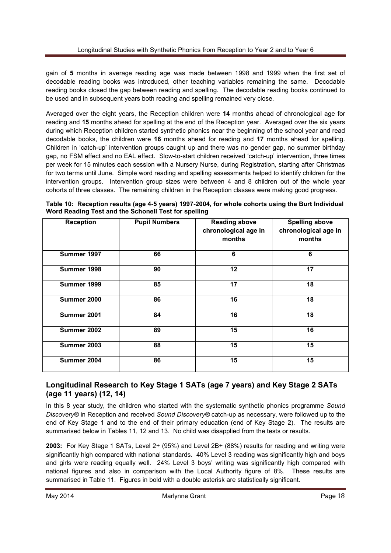gain of **5** months in average reading age was made between 1998 and 1999 when the first set of decodable reading books was introduced, other teaching variables remaining the same. Decodable reading books closed the gap between reading and spelling. The decodable reading books continued to be used and in subsequent years both reading and spelling remained very close.

Averaged over the eight years, the Reception children were **14** months ahead of chronological age for reading and **15** months ahead for spelling at the end of the Reception year. Averaged over the six years during which Reception children started synthetic phonics near the beginning of the school year and read decodable books, the children were **16** months ahead for reading and **17** months ahead for spelling. Children in 'catch-up' intervention groups caught up and there was no gender gap, no summer birthday gap, no FSM effect and no EAL effect. Slow-to-start children received 'catch-up' intervention, three times per week for 15 minutes each session with a Nursery Nurse, during Registration, starting after Christmas for two terms until June. Simple word reading and spelling assessments helped to identify children for the intervention groups. Intervention group sizes were between 4 and 8 children out of the whole year cohorts of three classes. The remaining children in the Reception classes were making good progress.

**Table 10: Reception results (age 4-5 years) 1997-2004, for whole cohorts using the Burt Individual Word Reading Test and the Schonell Test for spelling** 

| <b>Reception</b> | <b>Pupil Numbers</b> | <b>Reading above</b><br>chronological age in<br>months | <b>Spelling above</b><br>chronological age in<br>months |  |  |
|------------------|----------------------|--------------------------------------------------------|---------------------------------------------------------|--|--|
| Summer 1997      | 66                   | 6                                                      | 6                                                       |  |  |
| Summer 1998      | 90                   | 12                                                     | 17                                                      |  |  |
| Summer 1999      | 85                   | 17                                                     | 18                                                      |  |  |
| Summer 2000      | 86                   | 16                                                     | 18                                                      |  |  |
| Summer 2001      | 84                   | 16                                                     | 18                                                      |  |  |
| Summer 2002      | 89                   | 15                                                     | 16                                                      |  |  |
| Summer 2003      | 88                   | 15                                                     | 15                                                      |  |  |
| Summer 2004      | 86                   | 15                                                     | 15                                                      |  |  |

# **Longitudinal Research to Key Stage 1 SATs (age 7 years) and Key Stage 2 SATs (age 11 years) (12, 14)**

In this 8 year study, the children who started with the systematic synthetic phonics programme *Sound Discovery®* in Reception and received *Sound Discovery®* catch-up as necessary, were followed up to the end of Key Stage 1 and to the end of their primary education (end of Key Stage 2). The results are summarised below in Tables 11, 12 and 13. No child was disapplied from the tests or results.

**2003:** For Key Stage 1 SATs, Level 2+ (95%) and Level 2B+ (88%) results for reading and writing were significantly high compared with national standards. 40% Level 3 reading was significantly high and boys and girls were reading equally well. 24% Level 3 boys' writing was significantly high compared with national figures and also in comparison with the Local Authority figure of 8%. These results are summarised in Table 11. Figures in bold with a double asterisk are statistically significant.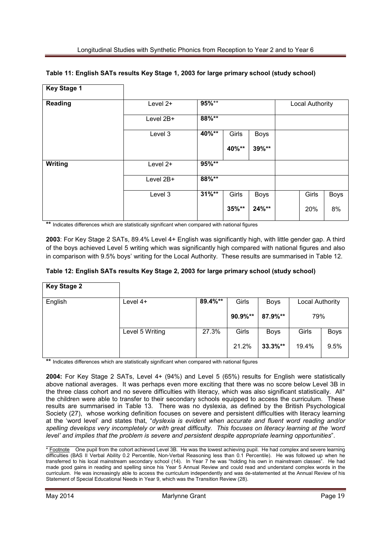| <b>Key Stage 1</b> |            |          |       |             |                 |       |             |
|--------------------|------------|----------|-------|-------------|-----------------|-------|-------------|
| <b>Reading</b>     | Level $2+$ | $95%***$ |       |             | Local Authority |       |             |
|                    | Level 2B+  | 88%**    |       |             |                 |       |             |
|                    | Level 3    | 40%**    | Girls | Boys        |                 |       |             |
|                    |            |          | 40%** | 39%**       |                 |       |             |
| <b>Writing</b>     | Level $2+$ | 95%**    |       |             |                 |       |             |
|                    | Level 2B+  | 88%**    |       |             |                 |       |             |
|                    | Level 3    | $31\%**$ | Girls | <b>Boys</b> |                 | Girls | <b>Boys</b> |
|                    |            |          | 35%** | 24%**       |                 | 20%   | 8%          |

#### **Table 11: English SATs results Key Stage 1, 2003 for large primary school (study school)**

**\*\*** Indicates differences which are statistically significant when compared with national figures

**2003**: For Key Stage 2 SATs, 89.4% Level 4+ English was significantly high, with little gender gap. A third of the boys achieved Level 5 writing which was significantly high compared with national figures and also in comparison with 9.5% boys' writing for the Local Authority. These results are summarised in Table 12.

#### **Table 12: English SATs results Key Stage 2, 2003 for large primary school (study school)**

| <b>Key Stage 2</b>                            |                 |         |         |             |                        |             |
|-----------------------------------------------|-----------------|---------|---------|-------------|------------------------|-------------|
| English                                       | Level $4+$      | 89.4%** | Girls   | Boys        | Local Authority<br>79% |             |
|                                               |                 |         | 90.9%** | 87.9%**     |                        |             |
|                                               | Level 5 Writing | 27.3%   | Girls   | <b>Boys</b> | Girls                  | <b>Boys</b> |
| allegales and the contract of the contract of |                 |         | 21.2%   | $33.3\%**$  | 19.4%                  | 9.5%        |

\*\* Indicates differences which are statistically significant when compared with national figures

**2004:** For Key Stage 2 SATs, Level 4+ (94%) and Level 5 (65%) results for English were statistically above national averages. It was perhaps even more exciting that there was no score below Level 3B in the three class cohort and no severe difficulties with literacy, which was also significant statistically. All\* the children were able to transfer to their secondary schools equipped to access the curriculum. These results are summarised in Table 13. There was no dyslexia, as defined by the British Psychological Society (27), whose working definition focuses on severe and persistent difficulties with literacy learning at the 'word level' and states that, "*dyslexia is evident when accurate and fluent word reading and/or spelling develops very incompletely or with great difficulty. This focuses on literacy learning at the 'word level' and implies that the problem is severe and persistent despite appropriate learning opportunities*".

<sup>\*</sup> Footnote One pupil from the cohort achieved Level 3B. He was the lowest achieving pupil. He had complex and severe learning difficulties (BAS II Verbal Ability 0.2 Percentile, Non-Verbal Reasoning less than 0.1 Percentile). He was followed up when he transferred to his local mainstream secondary school (14). In Year 7 he was "holding his own in mainstream classes". He had made good gains in reading and spelling since his Year 5 Annual Review and could read and understand complex words in the curriculum. He was increasingly able to access the curriculum independently and was de-statemented at the Annual Review of his Statement of Special Educational Needs in Year 9, which was the Transition Review (28).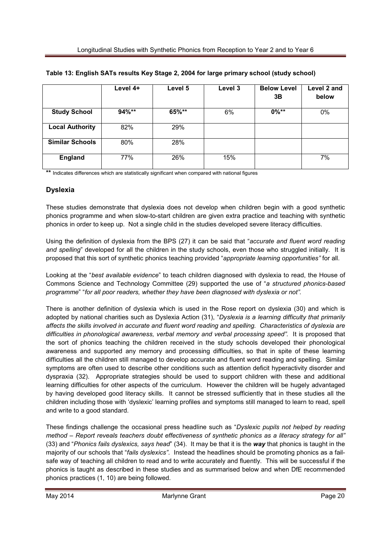|                        | Level 4+ | Level 5 | Level 3 | <b>Below Level</b><br>3B | Level 2 and<br>below |
|------------------------|----------|---------|---------|--------------------------|----------------------|
| <b>Study School</b>    | $94\%**$ | 65%**   | 6%      | $0\%***$                 | 0%                   |
| <b>Local Authority</b> | 82%      | 29%     |         |                          |                      |
| <b>Similar Schools</b> | 80%      | 28%     |         |                          |                      |
| <b>England</b>         | 77%      | 26%     | 15%     |                          | 7%                   |

#### **Table 13: English SATs results Key Stage 2, 2004 for large primary school (study school)**

\*\* Indicates differences which are statistically significant when compared with national figures

#### **Dyslexia**

These studies demonstrate that dyslexia does not develop when children begin with a good synthetic phonics programme and when slow-to-start children are given extra practice and teaching with synthetic phonics in order to keep up. Not a single child in the studies developed severe literacy difficulties.

Using the definition of dyslexia from the BPS (27) it can be said that "*accurate and fluent word reading and spelling*" developed for all the children in the study schools, even those who struggled initially. It is proposed that this sort of synthetic phonics teaching provided "*appropriate learning opportunities"* for all.

Looking at the "*best available evidence*" to teach children diagnosed with dyslexia to read, the House of Commons Science and Technology Committee (29) supported the use of "*a structured phonics-based programme*" "*for all poor readers, whether they have been diagnosed with dyslexia or not".* 

There is another definition of dyslexia which is used in the Rose report on dyslexia (30) and which is adopted by national charities such as Dyslexia Action (31), "*Dyslexia is a learning difficulty that primarily affects the skills involved in accurate and fluent word reading and spelling. Characteristics of dyslexia are difficulties in phonological awareness, verbal memory and verbal processing speed".* It is proposed that the sort of phonics teaching the children received in the study schools developed their phonological awareness and supported any memory and processing difficulties, so that in spite of these learning difficulties all the children still managed to develop accurate and fluent word reading and spelling. Similar symptoms are often used to describe other conditions such as attention deficit hyperactivity disorder and dyspraxia (32). Appropriate strategies should be used to support children with these and additional learning difficulties for other aspects of the curriculum. However the children will be hugely advantaged by having developed good literacy skills. It cannot be stressed sufficiently that in these studies all the children including those with 'dyslexic' learning profiles and symptoms still managed to learn to read, spell and write to a good standard.

These findings challenge the occasional press headline such as "*Dyslexic pupils not helped by reading method – Report reveals teachers doubt effectiveness of synthetic phonics as a literacy strategy for all"*  (33) and "*Phonics fails dyslexics, says head*" (34). It may be that it is the *way* that phonics is taught in the majority of our schools that "*fails dyslexics"*. Instead the headlines should be promoting phonics as a failsafe way of teaching all children to read and to write accurately and fluently. This will be successful if the phonics is taught as described in these studies and as summarised below and when DfE recommended phonics practices (1, 10) are being followed.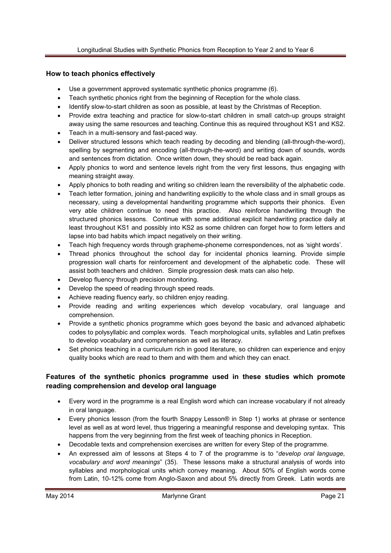### **How to teach phonics effectively**

- Use a government approved systematic synthetic phonics programme (6).
- Teach synthetic phonics right from the beginning of Reception for the whole class.
- Identify slow-to-start children as soon as possible, at least by the Christmas of Reception.
- Provide extra teaching and practice for slow-to-start children in small catch-up groups straight away using the same resources and teaching. Continue this as required throughout KS1 and KS2.
- Teach in a multi-sensory and fast-paced way.
- Deliver structured lessons which teach reading by decoding and blending (all-through-the-word), spelling by segmenting and encoding (all-through-the-word) and writing down of sounds, words and sentences from dictation. Once written down, they should be read back again.
- Apply phonics to word and sentence levels right from the very first lessons, thus engaging with meaning straight away.
- Apply phonics to both reading and writing so children learn the reversibility of the alphabetic code.
- Teach letter formation, joining and handwriting explicitly to the whole class and in small groups as necessary, using a developmental handwriting programme which supports their phonics. Even very able children continue to need this practice. Also reinforce handwriting through the structured phonics lessons. Continue with some additional explicit handwriting practice daily at least throughout KS1 and possibly into KS2 as some children can forget how to form letters and lapse into bad habits which impact negatively on their writing.
- Teach high frequency words through grapheme-phoneme correspondences, not as 'sight words'.
- Thread phonics throughout the school day for incidental phonics learning. Provide simple progression wall charts for reinforcement and development of the alphabetic code. These will assist both teachers and children. Simple progression desk mats can also help.
- Develop fluency through precision monitoring.
- Develop the speed of reading through speed reads.
- Achieve reading fluency early, so children enjoy reading.
- Provide reading and writing experiences which develop vocabulary, oral language and comprehension.
- Provide a synthetic phonics programme which goes beyond the basic and advanced alphabetic codes to polysyllabic and complex words. Teach morphological units, syllables and Latin prefixes to develop vocabulary and comprehension as well as literacy.
- Set phonics teaching in a curriculum rich in good literature, so children can experience and enjoy quality books which are read to them and with them and which they can enact.

# **Features of the synthetic phonics programme used in these studies which promote reading comprehension and develop oral language**

- Every word in the programme is a real English word which can increase vocabulary if not already in oral language.
- Every phonics lesson (from the fourth Snappy Lesson® in Step 1) works at phrase or sentence level as well as at word level, thus triggering a meaningful response and developing syntax. This happens from the very beginning from the first week of teaching phonics in Reception.
- Decodable texts and comprehension exercises are written for every Step of the programme.
- An expressed aim of lessons at Steps 4 to 7 of the programme is to "*develop oral language, vocabulary and word meanings*" (35). These lessons make a structural analysis of words into syllables and morphological units which convey meaning. About 50% of English words come from Latin, 10-12% come from Anglo-Saxon and about 5% directly from Greek. Latin words are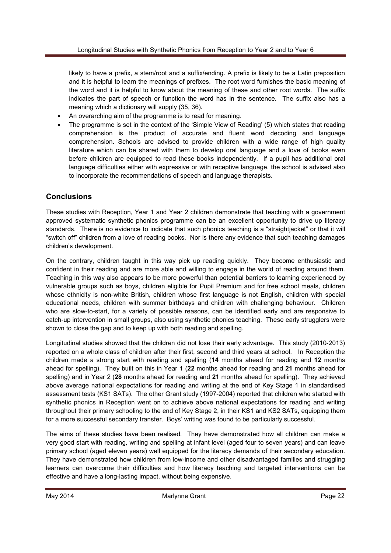likely to have a prefix, a stem/root and a suffix/ending. A prefix is likely to be a Latin preposition and it is helpful to learn the meanings of prefixes. The root word furnishes the basic meaning of the word and it is helpful to know about the meaning of these and other root words. The suffix indicates the part of speech or function the word has in the sentence. The suffix also has a meaning which a dictionary will supply (35, 36).

- An overarching aim of the programme is to read for meaning.
- The programme is set in the context of the 'Simple View of Reading' (5) which states that reading comprehension is the product of accurate and fluent word decoding and language comprehension. Schools are advised to provide children with a wide range of high quality literature which can be shared with them to develop oral language and a love of books even before children are equipped to read these books independently. If a pupil has additional oral language difficulties either with expressive or with receptive language, the school is advised also to incorporate the recommendations of speech and language therapists.

# **Conclusions**

These studies with Reception, Year 1 and Year 2 children demonstrate that teaching with a government approved systematic synthetic phonics programme can be an excellent opportunity to drive up literacy standards. There is no evidence to indicate that such phonics teaching is a "straightjacket" or that it will "switch off" children from a love of reading books. Nor is there any evidence that such teaching damages children's development.

On the contrary, children taught in this way pick up reading quickly. They become enthusiastic and confident in their reading and are more able and willing to engage in the world of reading around them. Teaching in this way also appears to be more powerful than potential barriers to learning experienced by vulnerable groups such as boys, children eligible for Pupil Premium and for free school meals, children whose ethnicity is non-white British, children whose first language is not English, children with special educational needs, children with summer birthdays and children with challenging behaviour. Children who are slow-to-start, for a variety of possible reasons, can be identified early and are responsive to catch-up intervention in small groups, also using synthetic phonics teaching. These early strugglers were shown to close the gap and to keep up with both reading and spelling.

Longitudinal studies showed that the children did not lose their early advantage. This study (2010-2013) reported on a whole class of children after their first, second and third years at school. In Reception the children made a strong start with reading and spelling (**14** months ahead for reading and **12** months ahead for spelling). They built on this in Year 1 (**22** months ahead for reading and **21** months ahead for spelling) and in Year 2 (**28** months ahead for reading and **21** months ahead for spelling). They achieved above average national expectations for reading and writing at the end of Key Stage 1 in standardised assessment tests (KS1 SATs). The other Grant study (1997-2004) reported that children who started with synthetic phonics in Reception went on to achieve above national expectations for reading and writing throughout their primary schooling to the end of Key Stage 2, in their KS1 and KS2 SATs, equipping them for a more successful secondary transfer. Boys' writing was found to be particularly successful.

The aims of these studies have been realised. They have demonstrated how all children can make a very good start with reading, writing and spelling at infant level (aged four to seven years) and can leave primary school (aged eleven years) well equipped for the literacy demands of their secondary education. They have demonstrated how children from low-income and other disadvantaged families and struggling learners can overcome their difficulties and how literacy teaching and targeted interventions can be effective and have a long-lasting impact, without being expensive.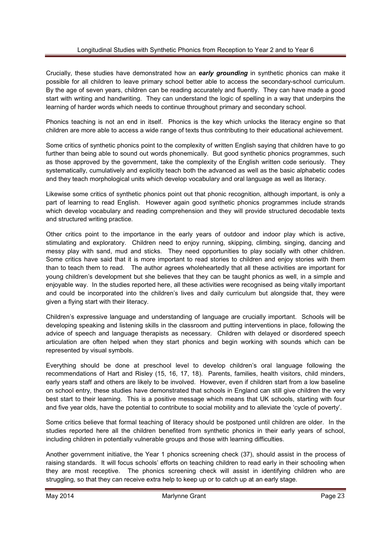Crucially, these studies have demonstrated how an *early grounding* in synthetic phonics can make it possible for all children to leave primary school better able to access the secondary-school curriculum. By the age of seven years, children can be reading accurately and fluently. They can have made a good start with writing and handwriting. They can understand the logic of spelling in a way that underpins the learning of harder words which needs to continue throughout primary and secondary school.

Phonics teaching is not an end in itself. Phonics is the key which unlocks the literacy engine so that children are more able to access a wide range of texts thus contributing to their educational achievement.

Some critics of synthetic phonics point to the complexity of written English saying that children have to go further than being able to sound out words phonemically. But good synthetic phonics programmes, such as those approved by the government, take the complexity of the English written code seriously. They systematically, cumulatively and explicitly teach both the advanced as well as the basic alphabetic codes and they teach morphological units which develop vocabulary and oral language as well as literacy.

Likewise some critics of synthetic phonics point out that phonic recognition, although important, is only a part of learning to read English. However again good synthetic phonics programmes include strands which develop vocabulary and reading comprehension and they will provide structured decodable texts and structured writing practice.

Other critics point to the importance in the early years of outdoor and indoor play which is active, stimulating and exploratory. Children need to enjoy running, skipping, climbing, singing, dancing and messy play with sand, mud and sticks. They need opportunities to play socially with other children. Some critics have said that it is more important to read stories to children and enjoy stories with them than to teach them to read. The author agrees wholeheartedly that all these activities are important for young children's development but she believes that they can be taught phonics as well, in a simple and enjoyable way. In the studies reported here, all these activities were recognised as being vitally important and could be incorporated into the children's lives and daily curriculum but alongside that, they were given a flying start with their literacy.

Children's expressive language and understanding of language are crucially important. Schools will be developing speaking and listening skills in the classroom and putting interventions in place, following the advice of speech and language therapists as necessary. Children with delayed or disordered speech articulation are often helped when they start phonics and begin working with sounds which can be represented by visual symbols.

Everything should be done at preschool level to develop children's oral language following the recommendations of Hart and Risley (15, 16, 17, 18). Parents, families, health visitors, child minders, early years staff and others are likely to be involved. However, even if children start from a low baseline on school entry, these studies have demonstrated that schools in England can still give children the very best start to their learning. This is a positive message which means that UK schools, starting with four and five year olds, have the potential to contribute to social mobility and to alleviate the 'cycle of poverty'.

Some critics believe that formal teaching of literacy should be postponed until children are older. In the studies reported here all the children benefited from synthetic phonics in their early years of school, including children in potentially vulnerable groups and those with learning difficulties.

Another government initiative, the Year 1 phonics screening check (37), should assist in the process of raising standards. It will focus schools' efforts on teaching children to read early in their schooling when they are most receptive. The phonics screening check will assist in identifying children who are struggling, so that they can receive extra help to keep up or to catch up at an early stage.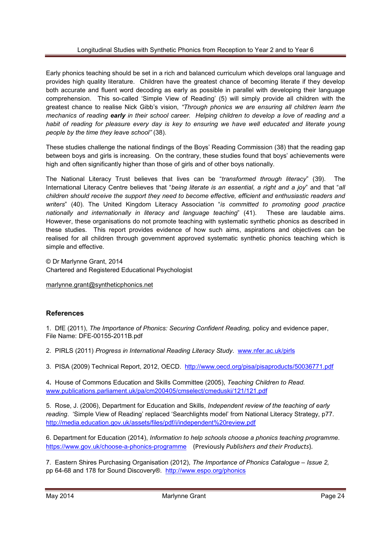Early phonics teaching should be set in a rich and balanced curriculum which develops oral language and provides high quality literature. Children have the greatest chance of becoming literate if they develop both accurate and fluent word decoding as early as possible in parallel with developing their language comprehension. This so-called 'Simple View of Reading' (5) will simply provide all children with the greatest chance to realise Nick Gibb's vision, *"Through phonics we are ensuring all children learn the mechanics of reading early in their school career. Helping children to develop a love of reading and a*  habit of reading for pleasure every day is key to ensuring we have well educated and literate young *people by the time they leave school"* (38).

These studies challenge the national findings of the Boys' Reading Commission (38) that the reading gap between boys and girls is increasing. On the contrary, these studies found that boys' achievements were high and often significantly higher than those of girls and of other boys nationally.

The National Literacy Trust believes that lives can be "*transformed through literacy*" (39). The International Literacy Centre believes that "*being literate is an essential, a right and a joy*" and that "*all children should receive the support they need to become effective, efficient and enthusiastic readers and writers*" (40). The United Kingdom Literacy Association "*is committed to promoting good practice nationally and internationally in literacy and language teaching*" (41). These are laudable aims. However, these organisations do not promote teaching with systematic synthetic phonics as described in these studies. This report provides evidence of how such aims, aspirations and objectives can be realised for all children through government approved systematic synthetic phonics teaching which is simple and effective.

© Dr Marlynne Grant, 2014 Chartered and Registered Educational Psychologist

marlynne.grant@syntheticphonics.net

# **References**

1. DfE (2011), *The Importance of Phonics: Securing Confident Reading,* policy and evidence paper, File Name: DFE-00155-2011B.pdf

2. PIRLS (2011) *Progress in International Reading Literacy Study*. www.nfer.ac.uk/pirls

3. PISA (2009) Technical Report, 2012, OECD. http://www.oecd.org/pisa/pisaproducts/50036771.pdf

4**.** House of Commons Education and Skills Committee (2005), *Teaching Children to Read.* www.publications.parliament.uk/pa/cm200405/cmselect/cmeduski/121/121.pdf

5. Rose, J. (2006), Department for Education and Skills, *Independent review of the teaching of early reading*. 'Simple View of Reading' replaced 'Searchlights model' from National Literacy Strategy, p77. http://media.education.gov.uk/assets/files/pdf/i/independent%20review.pdf

6. Department for Education (2014), *Information to help schools choose a phonics teaching programme*. https://www.gov.uk/choose-a-phonics-programme (Previously *Publishers and their Products*).

7. Eastern Shires Purchasing Organisation (2012), *The Importance of Phonics Catalogue – Issue 2,*  pp 64-68 and 178 for Sound Discovery®. http://www.espo.org/phonics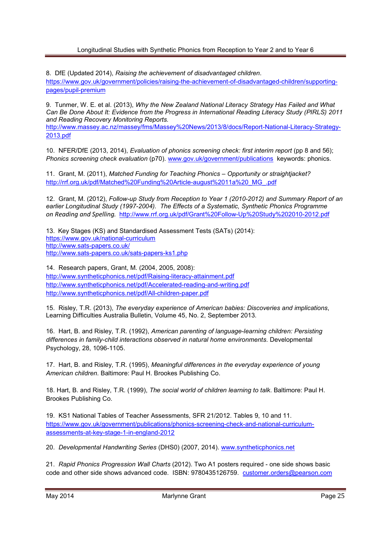#### Longitudinal Studies with Synthetic Phonics from Reception to Year 2 and to Year 6

8. DfE (Updated 2014), *Raising the achievement of disadvantaged children*.

https://www.gov.uk/government/policies/raising-the-achievement-of-disadvantaged-children/supportingpages/pupil-premium

9. Tunmer, W. E. et al. (2013), *Why the New Zealand National Literacy Strategy Has Failed and What Can Be Done About It: Evidence from the Progress in International Reading Literacy Study (PIRLS) 2011 and Reading Recovery Monitoring Reports.* 

http://www.massey.ac.nz/massey/fms/Massey%20News/2013/8/docs/Report-National-Literacy-Strategy-2013.pdf

10. NFER/DfE (2013, 2014), *Evaluation of phonics screening check: first interim report* (pp 8 and 56); *Phonics screening check evaluation* (p70). www.gov.uk/government/publications keywords: phonics.

11. Grant, M. (2011), *Matched Funding for Teaching Phonics – Opportunity or straightjacket?*  http://rrf.org.uk/pdf/Matched%20Funding%20Article-august%2011a%20\_MG\_.pdf

12. Grant, M. (2012), *Follow-up Study from Reception to Year 1 (2010-2012) and Summary Report of an earlier Longitudinal Study (1997-2004). The Effects of a Systematic, Synthetic Phonics Programme on Reading and Spelling.* http://www.rrf.org.uk/pdf/Grant%20Follow-Up%20Study%202010-2012.pdf

13. Key Stages (KS) and Standardised Assessment Tests (SATs) (2014): https://www.gov.uk/national-curriculum http://www.sats-papers.co.uk/ http://www.sats-papers.co.uk/sats-papers-ks1.php

14. Research papers, Grant, M. (2004, 2005, 2008): http://www.syntheticphonics.net/pdf/Raising-literacy-attainment.pdf http://www.syntheticphonics.net/pdf/Accelerated-reading-and-writing.pdf http://www.syntheticphonics.net/pdf/All-children-paper.pdf

15. Risley, T.R. (2013), *The everyday experience of American babies: Discoveries and implications*, Learning Difficulties Australia Bulletin, Volume 45, No. 2, September 2013.

16. Hart, B. and Risley, T.R. (1992), *American parenting of language-learning children: Persisting differences in family-child interactions observed in natural home environments*. Developmental Psychology, 28, 1096-1105.

17. Hart, B. and Risley, T.R. (1995), *Meaningful differences in the everyday experience of young American children*. Baltimore: Paul H. Brookes Publishing Co.

18. Hart, B. and Risley, T.R. (1999), *The social world of children learning to talk*. Baltimore: Paul H. Brookes Publishing Co.

19. KS1 National Tables of Teacher Assessments, SFR 21/2012. Tables 9, 10 and 11. https://www.gov.uk/government/publications/phonics-screening-check-and-national-curriculumassessments-at-key-stage-1-in-england-2012

20. *Developmental Handwriting Series* (DHS0) (2007, 2014). www.syntheticphonics.net

21. *Rapid Phonics Progression Wall Charts* (2012). Two A1 posters required - one side shows basic code and other side shows advanced code. ISBN: 9780435126759. customer.orders@pearson.com